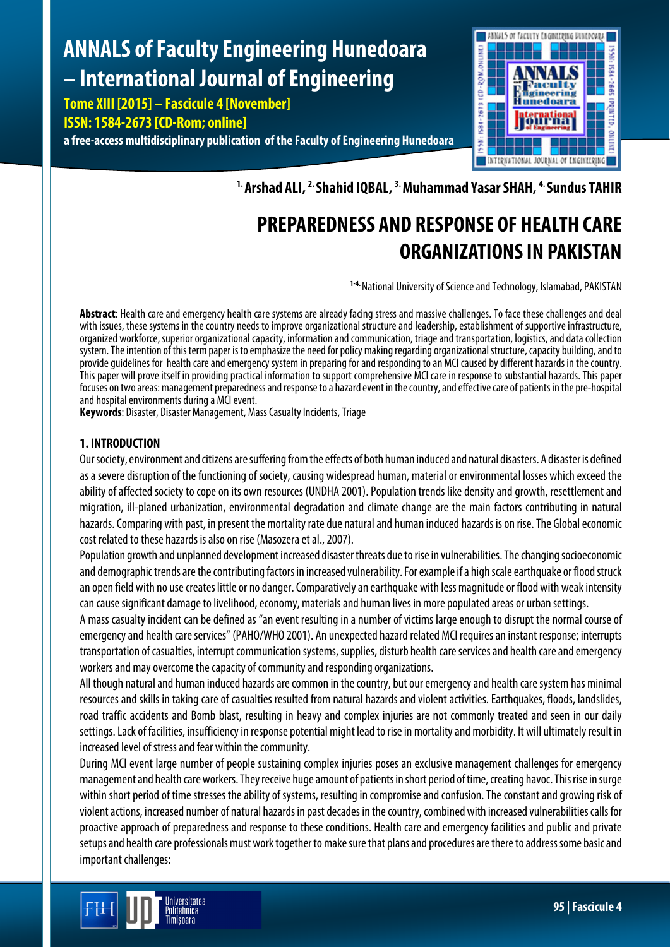# **ANNALS of Faculty Engineering Hunedoara – International Journal of Engineering**

**Tome XIII [2015] – Fascicule 4 [November] ISSN: 1584-2673 [CD-Rom; online] a free-access multidisciplinary publication of the Faculty of Engineering Hunedoara**



**1. Arshad ALI, 2. Shahid IQBAL, 3. Muhammad Yasar SHAH, 4. Sundus TAHIR**

# **PREPAREDNESS AND RESPONSE OF HEALTH CARE ORGANIZATIONS IN PAKISTAN**

**1-4.** National University of Science and Technology, Islamabad, PAKISTAN

Abstract: Health care and emergency health care systems are already facing stress and massive challenges. To face these challenges and deal with issues, these systems in the country needs to improve organizational structure and leadership, establishment of supportive infrastructure, organized workforce, superior organizational capacity, information and communication, triage and transportation, logistics, and data collection system. The intention of this term paper is to emphasize the need for policy making regarding organizational structure, capacity building, and to provide guidelines for health care and emergency system in preparing for and responding to an MCI caused by different hazards in the country. This paper will prove itself in providing practical information to support comprehensive MCI care in response to substantial hazards. This paper focuses on two areas: management preparedness and response to a hazard event in the country, and effective care of patients in the pre-hospital and hospital environments during a MCI event.

**Keywords**: Disaster, Disaster Management, Mass Casualty Incidents, Triage

# **1. INTRODUCTION**

Our society, environment and citizens are suffering from the effects of both human induced and natural disasters. A disaster is defined as a severe disruption of the functioning of society, causing widespread human, material or environmental losses which exceed the ability of affected society to cope on its own resources (UNDHA 2001). Population trends like density and growth, resettlement and migration, ill-planed urbanization, environmental degradation and climate change are the main factors contributing in natural hazards. Comparing with past, in present the mortality rate due natural and human induced hazards is on rise. The Global economic cost related to these hazards is also on rise (Masozera et al., 2007).

Population growth and unplanned development increased disaster threats due to rise in vulnerabilities. The changing socioeconomic and demographic trends are the contributing factors in increased vulnerability. For example if a high scale earthquake or flood struck an open field with no use creates little or no danger. Comparatively an earthquake with less magnitude or flood with weak intensity can cause significant damage to livelihood, economy, materials and human lives in more populated areas or urban settings.

A mass casualty incident can be defined as "an event resulting in a number of victims large enough to disrupt the normal course of emergency and health care services" (PAHO/WHO 2001). An unexpected hazard related MCI requires an instant response; interrupts transportation of casualties, interrupt communication systems, supplies, disturb health care services and health care and emergency workers and may overcome the capacity of community and responding organizations.

All though natural and human induced hazards are common in the country, but our emergency and health care system has minimal resources and skills in taking care of casualties resulted from natural hazards and violent activities. Earthquakes, floods, landslides, road traffic accidents and Bomb blast, resulting in heavy and complex injuries are not commonly treated and seen in our daily settings. Lack of facilities, insufficiency in response potential might lead to rise in mortality and morbidity. It will ultimately result in increased level of stress and fear within the community.

During MCI event large number of people sustaining complex injuries poses an exclusive management challenges for emergency management and health care workers. They receive huge amount of patients in short period of time, creating havoc. This rise in surge within short period of time stresses the ability of systems, resulting in compromise and confusion. The constant and growing risk of violent actions, increased number of natural hazards in past decades in the country, combined with increased vulnerabilities calls for proactive approach of preparedness and response to these conditions. Health care and emergency facilities and public and private setups and health care professionals must work together to make sure that plans and procedures are there to address some basic and important challenges: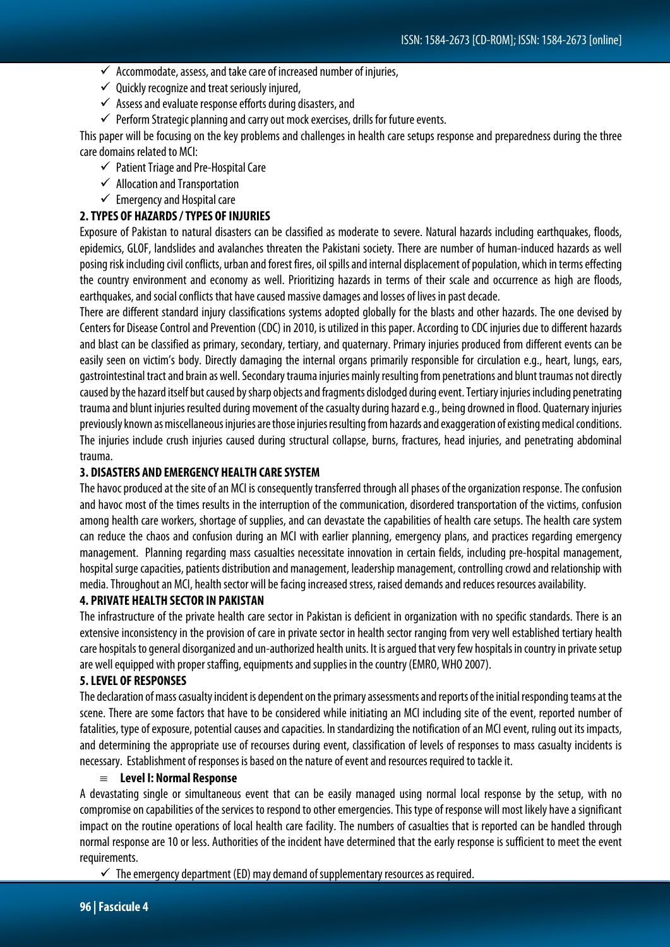- $\checkmark$  Accommodate, assess, and take care of increased number of injuries,
- $\checkmark$  Quickly recognize and treat seriously injured,
- $\checkmark$  Assess and evaluate response efforts during disasters, and
- $\checkmark$  Perform Strategic planning and carry out mock exercises, drills for future events.

This paper will be focusing on the key problems and challenges in health care setups response and preparedness during the three care domains related to MCI:

- $\checkmark$  Patient Triage and Pre-Hospital Care
- $\checkmark$  Allocation and Transportation
- $\checkmark$  Emergency and Hospital care

#### **2. TYPES OF HAZARDS/ TYPES OF INJURIES**

Exposure of Pakistan to natural disasters can be classified as moderate to severe. Natural hazards including earthquakes, floods, epidemics, GLOF, landslides and avalanches threaten the Pakistani society. There are number of human-induced hazards as well posing risk including civil conflicts, urban and forest fires, oil spills and internal displacement of population, which in terms effecting the country environment and economy as well. Prioritizing hazards in terms of their scale and occurrence as high are floods, earthquakes, and social conflicts that have caused massive damages and losses of lives in past decade.

There are different standard injury classifications systems adopted globally for the blasts and other hazards. The one devised by Centers for Disease Control and Prevention (CDC) in 2010, is utilized in this paper. According to CDC injuries due to different hazards and blast can be classified as primary, secondary, tertiary, and quaternary. Primary injuries produced from different events can be easily seen on victim's body. Directly damaging the internal organs primarily responsible for circulation e.g., heart, lungs, ears, gastrointestinal tract and brain as well. Secondary trauma injuries mainly resulting from penetrations and blunt traumas not directly caused by the hazard itself but caused by sharp objects and fragments dislodged during event. Tertiary injuries including penetrating trauma and blunt injuries resulted during movement of the casualty during hazard e.g., being drowned in flood. Quaternary injuries previously known as miscellaneous injuries are those injuries resulting from hazards and exaggeration of existing medical conditions. The injuries include crush injuries caused during structural collapse, burns, fractures, head injuries, and penetrating abdominal trauma.

#### **3. DISASTERS AND EMERGENCY HEALTH CARE SYSTEM**

The havoc produced at the site of an MCI is consequently transferred through all phases of the organization response. The confusion and havoc most of the times results in the interruption of the communication, disordered transportation of the victims, confusion among health care workers, shortage of supplies, and can devastate the capabilities of health care setups. The health care system can reduce the chaos and confusion during an MCI with earlier planning, emergency plans, and practices regarding emergency management. Planning regarding mass casualties necessitate innovation in certain fields, including pre-hospital management, hospital surge capacities, patients distribution and management, leadership management, controlling crowd and relationship with media. Throughout an MCI, health sector will be facing increased stress, raised demands and reduces resources availability.

#### **4. PRIVATE HEALTH SECTOR IN PAKISTAN**

The infrastructure of the private health care sector in Pakistan is deficient in organization with no specific standards. There is an extensive inconsistency in the provision of care in private sector in health sector ranging from very well established tertiary health care hospitals to general disorganized and un-authorized health units. It is argued that very few hospitals in country in private setup are well equipped with proper staffing, equipments and supplies in the country (EMRO, WHO 2007).

#### **5. LEVEL OF RESPONSES**

The declaration of mass casualty incident is dependent on the primary assessments and reports of the initial responding teams at the scene. There are some factors that have to be considered while initiating an MCI including site of the event, reported number of fatalities, type of exposure, potential causes and capacities. In standardizing the notification of an MCI event, ruling out its impacts, and determining the appropriate use of recourses during event, classification of levels of responses to mass casualty incidents is necessary. Establishment of responses is based on the nature of event and resources required to tackle it.

#### ≡ **Level I: Normal Response**

A devastating single or simultaneous event that can be easily managed using normal local response by the setup, with no compromise on capabilities of the services to respond to other emergencies. This type of response will most likely have a significant impact on the routine operations of local health care facility. The numbers of casualties that is reported can be handled through normal response are 10 or less. Authorities of the incident have determined that the early response is sufficient to meet the event requirements.

 $\checkmark$  The emergency department (ED) may demand of supplementary resources as required.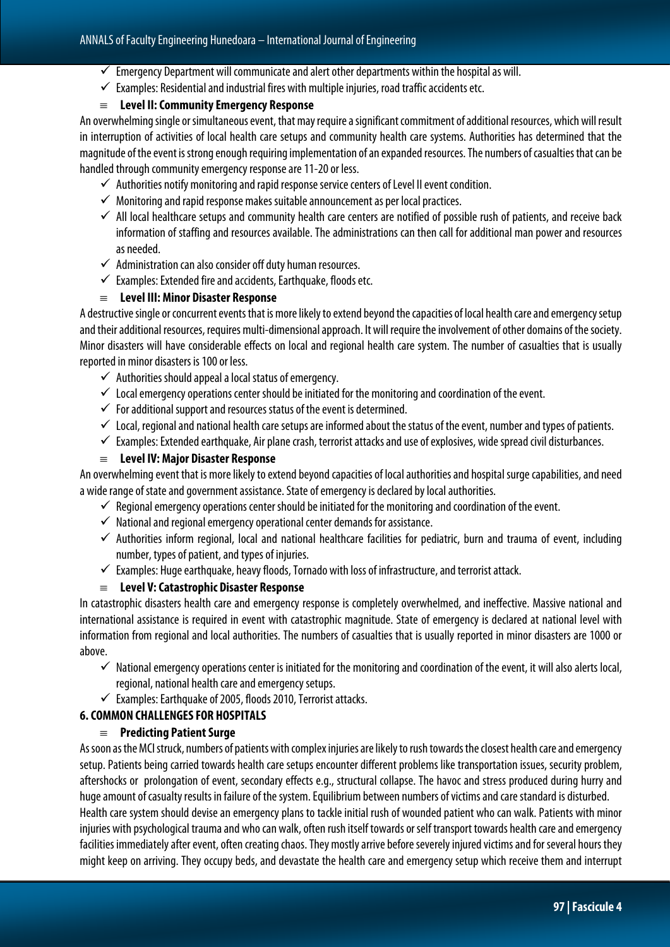- $\checkmark$  Emergency Department will communicate and alert other departments within the hospital as will.
- $\checkmark$  Examples: Residential and industrial fires with multiple injuries, road traffic accidents etc.

#### ≡ **Level II: Community Emergency Response**

An overwhelming single or simultaneous event, that may require a significant commitment of additional resources, which will result in interruption of activities of local health care setups and community health care systems. Authorities has determined that the magnitude of the event is strong enough requiring implementation of an expanded resources. The numbers of casualties that can be handled through community emergency response are 11-20 or less.

- $\checkmark$  Authorities notify monitoring and rapid response service centers of Level II event condition.
- $\checkmark$  Monitoring and rapid response makes suitable announcement as per local practices.
- $\checkmark$  All local healthcare setups and community health care centers are notified of possible rush of patients, and receive back information of staffing and resources available. The administrations can then call for additional man power and resources as needed.
- $\checkmark$  Administration can also consider off duty human resources.
- $\checkmark$  Examples: Extended fire and accidents, Earthquake, floods etc.

# ≡ **Level III: Minor Disaster Response**

A destructive single or concurrent events that is more likely to extend beyond the capacities of local health care and emergency setup and their additional resources, requires multi-dimensional approach. It will require the involvement of other domains of the society. Minor disasters will have considerable effects on local and regional health care system. The number of casualties that is usually reported in minor disasters is 100 or less.

- $\checkmark$  Authorities should appeal a local status of emergency.
- $\checkmark$  Local emergency operations center should be initiated for the monitoring and coordination of the event.
- $\checkmark$  For additional support and resources status of the event is determined.
- $\checkmark$  Local, regional and national health care setups are informed about the status of the event, number and types of patients.
- $\checkmark$  Examples: Extended earthquake, Air plane crash, terrorist attacks and use of explosives, wide spread civil disturbances.

#### ≡ **Level IV: Major Disaster Response**

An overwhelming event that is more likely to extend beyond capacities of local authorities and hospital surge capabilities, and need a wide range of state and government assistance. State of emergency is declared by local authorities.

- $\checkmark$  Regional emergency operations center should be initiated for the monitoring and coordination of the event.
- $\checkmark$  National and regional emergency operational center demands for assistance.
- $\checkmark$  Authorities inform regional, local and national healthcare facilities for pediatric, burn and trauma of event, including number, types of patient, and types of injuries.
- $\checkmark$  Examples: Huge earthquake, heavy floods, Tornado with loss of infrastructure, and terrorist attack.

#### ≡ **Level V: Catastrophic Disaster Response**

In catastrophic disasters health care and emergency response is completely overwhelmed, and ineffective. Massive national and international assistance is required in event with catastrophic magnitude. State of emergency is declared at national level with information from regional and local authorities. The numbers of casualties that is usually reported in minor disasters are 1000 or above.

- $\checkmark$  National emergency operations center is initiated for the monitoring and coordination of the event, it will also alerts local, regional, national health care and emergency setups.
- $\checkmark$  Examples: Earthquake of 2005, floods 2010, Terrorist attacks.

# **6. COMMON CHALLENGES FOR HOSPITALS**

# ≡ **Predicting Patient Surge**

As soon as the MCI struck, numbers of patients with complex injuries are likely to rush towards the closest health care and emergency setup. Patients being carried towards health care setups encounter different problems like transportation issues, security problem, aftershocks or prolongation of event, secondary effects e.g., structural collapse. The havoc and stress produced during hurry and huge amount of casualty results in failure of the system. Equilibrium between numbers of victims and care standard is disturbed. Health care system should devise an emergency plans to tackle initial rush of wounded patient who can walk. Patients with minor injuries with psychological trauma and who can walk, often rush itself towards or self transport towards health care and emergency facilities immediately after event, often creating chaos. They mostly arrive before severely injured victims and for several hours they might keep on arriving. They occupy beds, and devastate the health care and emergency setup which receive them and interrupt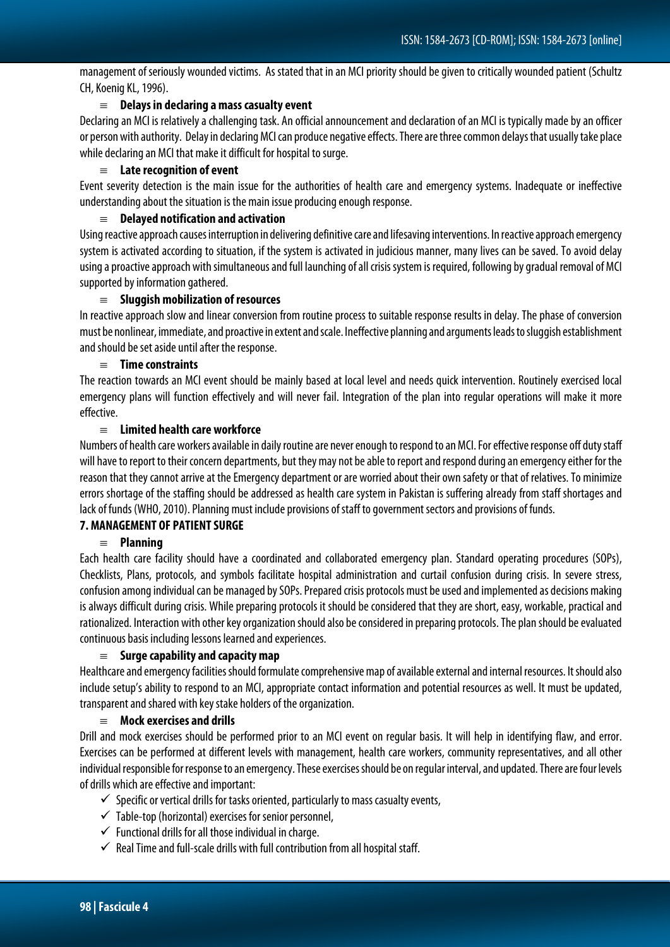management of seriously wounded victims. As stated that in an MCI priority should be given to critically wounded patient (Schultz CH, Koenig KL, 1996).

#### ≡ **Delays in declaring a mass casualty event**

Declaring an MCI is relatively a challenging task. An official announcement and declaration of an MCI is typically made by an officer or person with authority. Delay in declaring MCI can produce negative effects. There are three common delays that usually take place while declaring an MCI that make it difficult for hospital to surge.

#### ≡ **Late recognition of event**

Event severity detection is the main issue for the authorities of health care and emergency systems. Inadequate or ineffective understanding about the situation is the main issue producing enough response.

#### ≡ **Delayed notification and activation**

Using reactive approach causes interruption in delivering definitive care and lifesaving interventions. In reactive approach emergency system is activated according to situation, if the system is activated in judicious manner, many lives can be saved. To avoid delay using a proactive approach with simultaneous and full launching of all crisis system is required, following by gradual removal of MCI supported by information gathered.

#### ≡ **Sluggish mobilization of resources**

In reactive approach slow and linear conversion from routine process to suitable response results in delay. The phase of conversion must be nonlinear, immediate, and proactive in extent and scale. Ineffective planning and arguments leads to sluggish establishment and should be set aside until after the response.

#### ≡ **Time constraints**

The reaction towards an MCI event should be mainly based at local level and needs quick intervention. Routinely exercised local emergency plans will function effectively and will never fail. Integration of the plan into regular operations will make it more effective.

#### ≡ **Limited health care workforce**

Numbers of health care workers available in daily routine are never enough to respond to an MCI. For effective response off duty staff will have to report to their concern departments, but they may not be able to report and respond during an emergency either for the reason that they cannot arrive at the Emergency department or are worried about their own safety or that of relatives. To minimize errors shortage of the staffing should be addressed as health care system in Pakistan is suffering already from staff shortages and lack of funds (WHO, 2010). Planning must include provisions of staff to government sectors and provisions of funds.

# **7. MANAGEMENT OF PATIENT SURGE**

# ≡ **Planning**

Each health care facility should have a coordinated and collaborated emergency plan. Standard operating procedures (SOPs), Checklists, Plans, protocols, and symbols facilitate hospital administration and curtail confusion during crisis. In severe stress, confusion among individual can be managed by SOPs. Prepared crisis protocols must be used and implemented as decisions making is always difficult during crisis. While preparing protocols it should be considered that they are short, easy, workable, practical and rationalized. Interaction with other key organization should also be considered in preparing protocols. The plan should be evaluated continuous basis including lessons learned and experiences.

# ≡ **Surge capability and capacity map**

Healthcare and emergency facilities should formulate comprehensive map of available external and internal resources. It should also include setup's ability to respond to an MCI, appropriate contact information and potential resources as well. It must be updated, transparent and shared with key stake holders of the organization.

#### ≡ **Mock exercises and drills**

Drill and mock exercises should be performed prior to an MCI event on regular basis. It will help in identifying flaw, and error. Exercises can be performed at different levels with management, health care workers, community representatives, and all other individual responsible for response to an emergency. These exercises should be on regular interval, and updated. There are four levels of drills which are effective and important:

- $\checkmark$  Specific or vertical drills for tasks oriented, particularly to mass casualty events,
- $\checkmark$  Table-top (horizontal) exercises for senior personnel,
- $\checkmark$  Functional drills for all those individual in charge.
- $\checkmark$  Real Time and full-scale drills with full contribution from all hospital staff.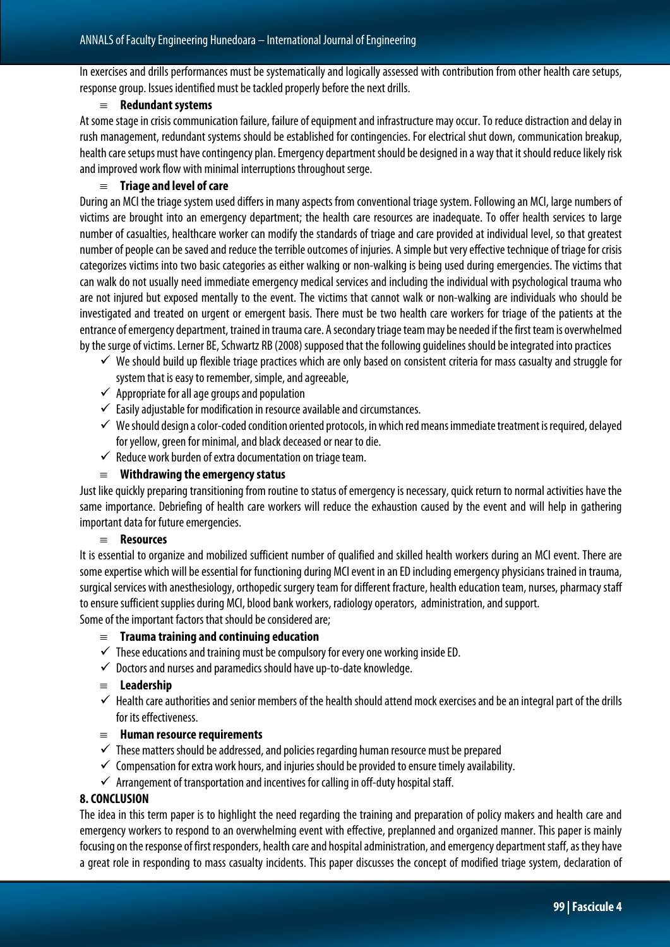In exercises and drills performances must be systematically and logically assessed with contribution from other health care setups, response group. Issues identified must be tackled properly before the next drills.

#### ≡ **Redundant systems**

At some stage in crisis communication failure, failure of equipment and infrastructure may occur. To reduce distraction and delay in rush management, redundant systems should be established for contingencies. For electrical shut down, communication breakup, health care setups must have contingency plan. Emergency department should be designed in a way that it should reduce likely risk and improved work flow with minimal interruptions throughout serge.

#### ≡ **Triage and level of care**

During an MCI the triage system used differs in many aspects from conventional triage system. Following an MCI, large numbers of victims are brought into an emergency department; the health care resources are inadequate. To offer health services to large number of casualties, healthcare worker can modify the standards of triage and care provided at individual level, so that greatest number of people can be saved and reduce the terrible outcomes of injuries. A simple but very effective technique of triage for crisis categorizes victims into two basic categories as either walking or non-walking is being used during emergencies. The victims that can walk do not usually need immediate emergency medical services and including the individual with psychological trauma who are not injured but exposed mentally to the event. The victims that cannot walk or non-walking are individuals who should be investigated and treated on urgent or emergent basis. There must be two health care workers for triage of the patients at the entrance of emergency department, trained in trauma care. A secondary triage team may be needed if the first team is overwhelmed by the surge of victims. Lerner BE, Schwartz RB (2008) supposed that the following guidelines should be integrated into practices

- $\checkmark$  We should build up flexible triage practices which are only based on consistent criteria for mass casualty and struggle for system that is easy to remember, simple, and agreeable,
- $\checkmark$  Appropriate for all age groups and population
- $\checkmark$  Easily adjustable for modification in resource available and circumstances.
- $\checkmark$  We should design a color-coded condition oriented protocols, in which red means immediate treatment is required, delayed for yellow, green for minimal, and black deceased or near to die.
- $\checkmark$  Reduce work burden of extra documentation on triage team.

#### ≡ **Withdrawing the emergency status**

Just like quickly preparing transitioning from routine to status of emergency is necessary, quick return to normal activities have the same importance. Debriefing of health care workers will reduce the exhaustion caused by the event and will help in gathering important data for future emergencies.

#### ≡ **Resources**

It is essential to organize and mobilized sufficient number of qualified and skilled health workers during an MCI event. There are some expertise which will be essential for functioning during MCI event in an ED including emergency physicians trained in trauma, surgical services with anesthesiology, orthopedic surgery team for different fracture, health education team, nurses, pharmacy staff to ensure sufficient supplies during MCI, blood bank workers, radiology operators, administration, and support. Some of the important factors that should be considered are;

#### ≡ **Trauma training and continuing education**

- $\checkmark$  These educations and training must be compulsory for every one working inside ED.
- $\checkmark$  Doctors and nurses and paramedics should have up-to-date knowledge.
- ≡ **Leadership**
- $\checkmark$  Health care authorities and senior members of the health should attend mock exercises and be an integral part of the drills for its effectiveness.

#### ≡ **Human resource requirements**

- $\checkmark$  These matters should be addressed, and policies regarding human resource must be prepared
- $\checkmark$  Compensation for extra work hours, and injuries should be provided to ensure timely availability.
- $\checkmark$  Arrangement of transportation and incentives for calling in off-duty hospital staff.

#### **8. CONCLUSION**

The idea in this term paper is to highlight the need regarding the training and preparation of policy makers and health care and emergency workers to respond to an overwhelming event with effective, preplanned and organized manner. This paper is mainly focusing on the response of first responders, health care and hospital administration, and emergency department staff, as they have a great role in responding to mass casualty incidents. This paper discusses the concept of modified triage system, declaration of